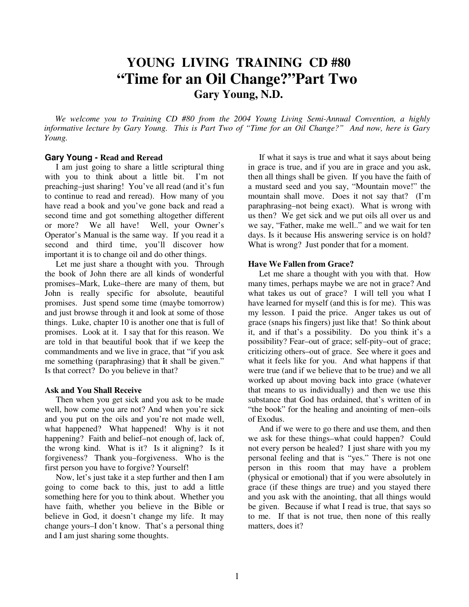# **YOUNG LIVING TRAINING CD #80 "Time for an Oil Change?"Part Two Gary Young, N.D.**

 *We welcome you to Training CD #80 from the 2004 Young Living Semi-Annual Convention, a highly informative lecture by Gary Young. This is Part Two of "Time for an Oil Change?" And now, here is Gary Young.* 

#### **Gary Young - Read and Reread**

I am just going to share a little scriptural thing with you to think about a little bit. I'm not preaching–just sharing! You've all read (and it's fun to continue to read and reread). How many of you have read a book and you've gone back and read a second time and got something altogether different or more? We all have! Well, your Owner's Operator's Manual is the same way. If you read it a second and third time, you'll discover how important it is to change oil and do other things.

 Let me just share a thought with you. Through the book of John there are all kinds of wonderful promises–Mark, Luke–there are many of them, but John is really specific for absolute, beautiful promises. Just spend some time (maybe tomorrow) and just browse through it and look at some of those things. Luke, chapter 10 is another one that is full of promises. Look at it. I say that for this reason. We are told in that beautiful book that if we keep the commandments and we live in grace, that "if you ask me something (paraphrasing) that **i**t shall be given." Is that correct? Do you believe in that?

#### **Ask and You Shall Receive**

 Then when you get sick and you ask to be made well, how come you are not? And when you're sick and you put on the oils and you're not made well, what happened? What happened! Why is it not happening? Faith and belief–not enough of, lack of, the wrong kind. What is it? Is it aligning? Is it forgiveness? Thank you–forgiveness. Who is the first person you have to forgive? Yourself!

 Now, let's just take it a step further and then I am going to come back to this, just to add a little something here for you to think about. Whether you have faith, whether you believe in the Bible or believe in God, it doesn't change my life. It may change yours–I don't know. That's a personal thing and I am just sharing some thoughts.

 If what it says is true and what it says about being in grace is true, and if you are in grace and you ask, then all things shall be given. If you have the faith of a mustard seed and you say, "Mountain move!" the mountain shall move. Does it not say that? (I'm paraphrasing–not being exact). What is wrong with us then? We get sick and we put oils all over us and we say, "Father, make me well.." and we wait for ten days. Is it because His answering service is on hold? What is wrong? Just ponder that for a moment.

#### **Have We Fallen from Grace?**

 Let me share a thought with you with that. How many times, perhaps maybe we are not in grace? And what takes us out of grace? I will tell you what I have learned for myself (and this is for me). This was my lesson. I paid the price. Anger takes us out of grace (snaps his fingers) just like that! So think about it, and if that's a possibility. Do you think it's a possibility? Fear–out of grace; self-pity–out of grace; criticizing others–out of grace. See where it goes and what it feels like for you. And what happens if that were true (and if we believe that to be true) and we all worked up about moving back into grace (whatever that means to us individually) and then we use this substance that God has ordained, that's written of in "the book" for the healing and anointing of men–oils of Exodus.

 And if we were to go there and use them, and then we ask for these things–what could happen? Could not every person be healed? I just share with you my personal feeling and that is "yes." There is not one person in this room that may have a problem (physical or emotional) that if you were absolutely in grace (if these things are true) and you stayed there and you ask with the anointing, that all things would be given. Because if what I read is true, that says so to me. If that is not true, then none of this really matters, does it?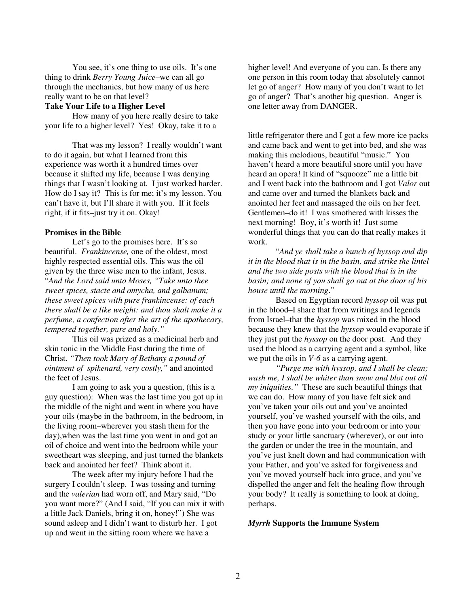You see, it's one thing to use oils. It's one thing to drink *Berry Young Juice*–we can all go through the mechanics, but how many of us here really want to be on that level?

## **Take Your Life to a Higher Level**

 How many of you here really desire to take your life to a higher level? Yes! Okay, take it to a

 That was my lesson? I really wouldn't want to do it again, but what I learned from this experience was worth it a hundred times over because it shifted my life, because I was denying things that I wasn't looking at. I just worked harder. How do I say it? This is for me; it's my lesson. You can't have it, but I'll share it with you. If it feels right, if it fits–just try it on. Okay!

#### **Promises in the Bible**

Let's go to the promises here. It's so beautiful. *Frankincense,* one of the oldest, most highly respected essential oils. This was the oil given by the three wise men to the infant, Jesus. "*And the Lord said unto Moses, "Take unto thee sweet spices, stacte and omycha, and galbanum; these sweet spices with pure frankincense: of each there shall be a like weight: and thou shalt make it a perfume, a confection after the art of the apothecary, tempered together, pure and holy."* 

 This oil was prized as a medicinal herb and skin tonic in the Middle East during the time of Christ. *"Then took Mary of Bethany a pound of ointment of spikenard, very costly,"* and anointed the feet of Jesus.

 I am going to ask you a question, (this is a guy question): When was the last time you got up in the middle of the night and went in where you have your oils (maybe in the bathroom, in the bedroom, in the living room–wherever you stash them for the day),when was the last time you went in and got an oil of choice and went into the bedroom while your sweetheart was sleeping, and just turned the blankets back and anointed her feet? Think about it.

 The week after my injury before I had the surgery I couldn't sleep. I was tossing and turning and the *valerian* had worn off, and Mary said, "Do you want more?" (And I said, "If you can mix it with a little Jack Daniels, bring it on, honey!") She was sound asleep and I didn't want to disturb her. I got up and went in the sitting room where we have a

higher level! And everyone of you can. Is there any one person in this room today that absolutely cannot let go of anger? How many of you don't want to let go of anger? That's another big question. Anger is one letter away from DANGER.

little refrigerator there and I got a few more ice packs and came back and went to get into bed, and she was making this melodious, beautiful "music." You haven't heard a more beautiful snore until you have heard an opera! It kind of "squooze" me a little bit and I went back into the bathroom and I got *Valor* out and came over and turned the blankets back and anointed her feet and massaged the oils on her feet. Gentlemen–do it! I was smothered with kisses the next morning! Boy, it's worth it! Just some wonderful things that you can do that really makes it work.

 "*And ye shall take a bunch of hyssop and dip it in the blood that is in the basin, and strike the lintel and the two side posts with the blood that is in the basin; and none of you shall go out at the door of his house until the morning*."

 Based on Egyptian record *hyssop* oil was put in the blood–I share that from writings and legends from Israel–that the *hyssop* was mixed in the blood because they knew that the *hyssop* would evaporate if they just put the *hyssop* on the door post. And they used the blood as a carrying agent and a symbol, like we put the oils in *V-6* as a carrying agent.

*"Purge me with hyssop, and I shall be clean; wash me, I shall be whiter than snow and blot out all my iniquities."* These are such beautiful things that we can do. How many of you have felt sick and you've taken your oils out and you've anointed yourself, you've washed yourself with the oils, and then you have gone into your bedroom or into your study or your little sanctuary (wherever), or out into the garden or under the tree in the mountain, and you've just knelt down and had communication with your Father, and you've asked for forgiveness and you've moved yourself back into grace, and you've dispelled the anger and felt the healing flow through your body? It really is something to look at doing, perhaps.

## *Myrrh* **Supports the Immune System**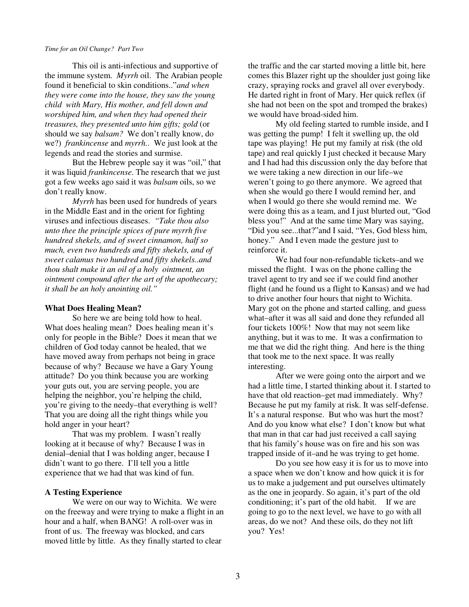This oil is anti-infectious and supportive of the immune system. *Myrrh* oil. The Arabian people found it beneficial to skin conditions.."*and when they were come into the house, they saw the young child with Mary, His mother, and fell down and worshiped him, and when they had opened their treasures, they presented unto him gifts; gold* (or should we say *balsam?* We don't really know, do we?) *frankincense* and *myrrh.*. We just look at the legends and read the stories and surmise.

 But the Hebrew people say it was "oil," that it was liquid *frankincense*. The research that we just got a few weeks ago said it was *balsam* oils, so we don't really know.

*Myrrh* has been used for hundreds of years in the Middle East and in the orient for fighting viruses and infectious diseases. *"Take thou also unto thee the principle spices of pure myrrh five hundred shekels, and of sweet cinnamon, half so much, even two hundreds and fifty shekels, and of sweet calamus two hundred and fifty shekels..and thou shalt make it an oil of a holy ointment, an ointment compound after the art of the apothecary; it shall be an holy anointing oil."* 

#### **What Does Healing Mean?**

 So here we are being told how to heal. What does healing mean? Does healing mean it's only for people in the Bible? Does it mean that we children of God today cannot be healed, that we have moved away from perhaps not being in grace because of why? Because we have a Gary Young attitude? Do you think because you are working your guts out, you are serving people, you are helping the neighbor, you're helping the child, you're giving to the needy–that everything is well? That you are doing all the right things while you hold anger in your heart?

 That was my problem. I wasn't really looking at it because of why? Because I was in denial–denial that I was holding anger, because I didn't want to go there. I'll tell you a little experience that we had that was kind of fun.

## **A Testing Experience**

 We were on our way to Wichita. We were on the freeway and were trying to make a flight in an hour and a half, when BANG! A roll-over was in front of us. The freeway was blocked, and cars moved little by little. As they finally started to clear

the traffic and the car started moving a little bit, here comes this Blazer right up the shoulder just going like crazy, spraying rocks and gravel all over everybody. He darted right in front of Mary. Her quick reflex (if she had not been on the spot and tromped the brakes) we would have broad-sided him.

 My old feeling started to rumble inside, and I was getting the pump! I felt it swelling up, the old tape was playing! He put my family at risk (the old tape) and real quickly I just checked it because Mary and I had had this discussion only the day before that we were taking a new direction in our life–we weren't going to go there anymore. We agreed that when she would go there I would remind her, and when I would go there she would remind me. We were doing this as a team, and I just blurted out, "God bless you!" And at the same time Mary was saying, "Did you see...that?"and I said, "Yes, God bless him, honey." And I even made the gesture just to reinforce it.

 We had four non-refundable tickets–and we missed the flight. I was on the phone calling the travel agent to try and see if we could find another flight (and he found us a flight to Kansas) and we had to drive another four hours that night to Wichita. Mary got on the phone and started calling, and guess what–after it was all said and done they refunded all four tickets 100%! Now that may not seem like anything, but it was to me. It was a confirmation to me that we did the right thing. And here is the thing that took me to the next space. It was really interesting.

 After we were going onto the airport and we had a little time, I started thinking about it. I started to have that old reaction–get mad immediately. Why? Because he put my family at risk. It was self-defense. It's a natural response. But who was hurt the most? And do you know what else? I don't know but what that man in that car had just received a call saying that his family's house was on fire and his son was trapped inside of it–and he was trying to get home.

 Do you see how easy it is for us to move into a space when we don't know and how quick it is for us to make a judgement and put ourselves ultimately as the one in jeopardy. So again, it's part of the old conditioning; it's part of the old habit. If we are going to go to the next level, we have to go with all areas, do we not? And these oils, do they not lift you? Yes!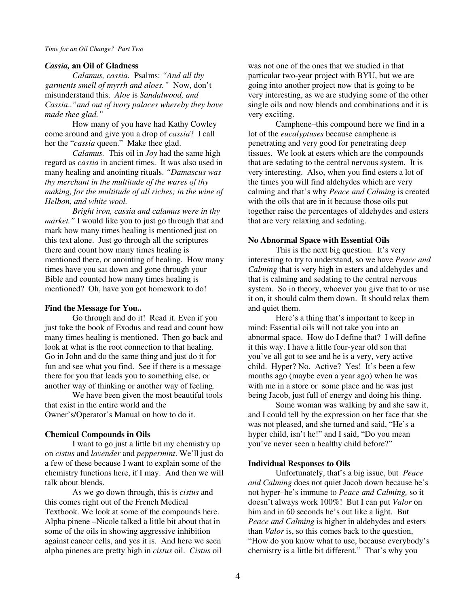#### *Cassia,* **an Oil of Gladness**

*Calamus, cassia.* Psalms: *"And all thy garments smell of myrrh and aloes."* Now, don't misunderstand this. *Aloe* is *Sandalwood, and Cassia*..*"and out of ivory palaces whereby they have made thee glad."*

 How many of you have had Kathy Cowley come around and give you a drop of *cassia*? I call her the "*cassia* queen." Make thee glad.

*Calamus.* This oil in *Joy* had the same high regard as *cassia* in ancient times. It was also used in many healing and anointing rituals. *"Damascus was thy merchant in the multitude of the wares of thy making, for the multitude of all riches; in the wine of Helbon, and white wool.* 

 *Bright iron, cassia and calamus were in thy market."* I would like you to just go through that and mark how many times healing is mentioned just on this text alone. Just go through all the scriptures there and count how many times healing is mentioned there, or anointing of healing. How many times have you sat down and gone through your Bible and counted how many times healing is mentioned? Oh, have you got homework to do!

## **Find the Message for You..**

 Go through and do it! Read it. Even if you just take the book of Exodus and read and count how many times healing is mentioned. Then go back and look at what is the root connection to that healing. Go in John and do the same thing and just do it for fun and see what you find. See if there is a message there for you that leads you to something else, or another way of thinking or another way of feeling.

 We have been given the most beautiful tools that exist in the entire world and the Owner's/Operator's Manual on how to do it.

## **Chemical Compounds in Oils**

 I want to go just a little bit my chemistry up on *cistus* and *lavender* and *peppermint*. We'll just do a few of these because I want to explain some of the chemistry functions here, if I may. And then we will talk about blends.

 As we go down through, this is *cistus* and this comes right out of the French Medical Textbook. We look at some of the compounds here. Alpha pinene –Nicole talked a little bit about that in some of the oils in showing aggressive inhibition against cancer cells, and yes it is. And here we seen alpha pinenes are pretty high in *cistus* oil. *Cistus* oil

was not one of the ones that we studied in that particular two-year project with BYU, but we are going into another project now that is going to be very interesting, as we are studying some of the other single oils and now blends and combinations and it is very exciting.

 Camphene–this compound here we find in a lot of the *eucalyptuses* because camphene is penetrating and very good for penetrating deep tissues. We look at esters which are the compounds that are sedating to the central nervous system. It is very interesting. Also, when you find esters a lot of the times you will find aldehydes which are very calming and that's why *Peace and Calming* is created with the oils that are in it because those oils put together raise the percentages of aldehydes and esters that are very relaxing and sedating.

#### **No Abnormal Space with Essential Oils**

 This is the next big question. It's very interesting to try to understand, so we have *Peace and Calming* that is very high in esters and aldehydes and that is calming and sedating to the central nervous system. So in theory, whoever you give that to or use it on, it should calm them down. It should relax them and quiet them.

 Here's a thing that's important to keep in mind: Essential oils will not take you into an abnormal space. How do I define that? I will define it this way. I have a little four-year old son that you've all got to see and he is a very, very active child. Hyper? No. Active? Yes! It's been a few months ago (maybe even a year ago) when he was with me in a store or some place and he was just being Jacob, just full of energy and doing his thing.

 Some woman was walking by and she saw it, and I could tell by the expression on her face that she was not pleased, and she turned and said, "He's a hyper child, isn't he!" and I said, "Do you mean you've never seen a healthy child before?"

## **Individual Responses to Oils**

 Unfortunately, that's a big issue, but *Peace and Calming* does not quiet Jacob down because he's not hyper–he's immune to *Peace and Calming,* so it doesn't always work 100%! But I can put *Valor* on him and in 60 seconds he's out like a light. But *Peace and Calming* is higher in aldehydes and esters than *Valor* is, so this comes back to the question, "How do you know what to use, because everybody's chemistry is a little bit different." That's why you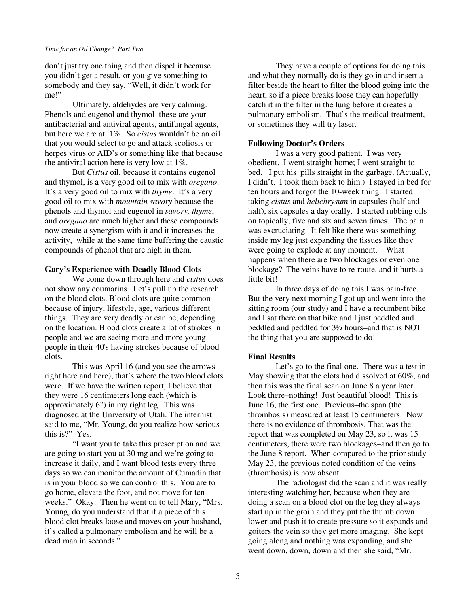don't just try one thing and then dispel it because you didn't get a result, or you give something to somebody and they say, "Well, it didn't work for me!"

 Ultimately, aldehydes are very calming. Phenols and eugenol and thymol–these are your antibacterial and antiviral agents, antifungal agents, but here we are at 1%. So *cistus* wouldn't be an oil that you would select to go and attack scoliosis or herpes virus or AID's or something like that because the antiviral action here is very low at 1%.

 But *Cistus* oil, because it contains eugenol and thymol, is a very good oil to mix with *oregano*. It's a very good oil to mix with *thyme*. It's a very good oil to mix with *mountain savory* because the phenols and thymol and eugenol in *savory, thyme*, and *oregano* are much higher and these compounds now create a synergism with it and it increases the activity, while at the same time buffering the caustic compounds of phenol that are high in them.

## **Gary's Experience with Deadly Blood Clots**

 We come down through here and *cistus* does not show any coumarins. Let's pull up the research on the blood clots. Blood clots are quite common because of injury, lifestyle, age, various different things. They are very deadly or can be, depending on the location. Blood clots create a lot of strokes in people and we are seeing more and more young people in their 40's having strokes because of blood clots.

 This was April 16 (and you see the arrows right here and here), that's where the two blood clots were. If we have the written report, I believe that they were 16 centimeters long each (which is approximately 6") in my right leg. This was diagnosed at the University of Utah. The internist said to me, "Mr. Young, do you realize how serious this is?" Yes.

 "I want you to take this prescription and we are going to start you at 30 mg and we're going to increase it daily, and I want blood tests every three days so we can monitor the amount of Cumadin that is in your blood so we can control this. You are to go home, elevate the foot, and not move for ten weeks." Okay. Then he went on to tell Mary, "Mrs. Young, do you understand that if a piece of this blood clot breaks loose and moves on your husband, it's called a pulmonary embolism and he will be a dead man in seconds."

 They have a couple of options for doing this and what they normally do is they go in and insert a filter beside the heart to filter the blood going into the heart, so if a piece breaks loose they can hopefully catch it in the filter in the lung before it creates a pulmonary embolism. That's the medical treatment, or sometimes they will try laser.

## **Following Doctor's Orders**

 I was a very good patient. I was very obedient. I went straight home; I went straight to bed. I put his pills straight in the garbage. (Actually, I didn't. I took them back to him.) I stayed in bed for ten hours and forgot the 10-week thing. I started taking *cistus* and *helichrysum* in capsules (half and half), six capsules a day orally. I started rubbing oils on topically, five and six and seven times. The pain was excruciating. It felt like there was something inside my leg just expanding the tissues like they were going to explode at any moment. What happens when there are two blockages or even one blockage? The veins have to re-route, and it hurts a little bit!

 In three days of doing this I was pain-free. But the very next morning I got up and went into the sitting room (our study) and I have a recumbent bike and I sat there on that bike and I just peddled and peddled and peddled for 3½ hours–and that is NOT the thing that you are supposed to do!

## **Final Results**

 Let's go to the final one. There was a test in May showing that the clots had dissolved at 60%, and then this was the final scan on June 8 a year later. Look there–nothing! Just beautiful blood! This is June 16, the first one. Previous–the span (the thrombosis) measured at least 15 centimeters. Now there is no evidence of thrombosis. That was the report that was completed on May 23, so it was 15 centimeters, there were two blockages–and then go to the June 8 report. When compared to the prior study May 23, the previous noted condition of the veins (thrombosis) is now absent.

 The radiologist did the scan and it was really interesting watching her, because when they are doing a scan on a blood clot on the leg they always start up in the groin and they put the thumb down lower and push it to create pressure so it expands and goiters the vein so they get more imaging. She kept going along and nothing was expanding, and she went down, down, down and then she said, "Mr.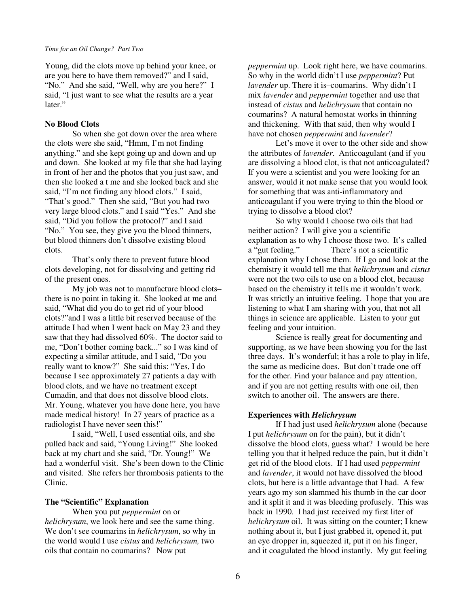Young, did the clots move up behind your knee, or are you here to have them removed?" and I said, "No." And she said, "Well, why are you here?" I said, "I just want to see what the results are a year later."

## **No Blood Clots**

 So when she got down over the area where the clots were she said, "Hmm, I'm not finding anything." and she kept going up and down and up and down. She looked at my file that she had laying in front of her and the photos that you just saw, and then she looked a t me and she looked back and she said, "I'm not finding any blood clots." I said, "That's good." Then she said, "But you had two very large blood clots." and I said "Yes." And she said, "Did you follow the protocol?" and I said "No." You see, they give you the blood thinners, but blood thinners don't dissolve existing blood clots.

 That's only there to prevent future blood clots developing, not for dissolving and getting rid of the present ones.

 My job was not to manufacture blood clots– there is no point in taking it. She looked at me and said, "What did you do to get rid of your blood clots?"and I was a little bit reserved because of the attitude I had when I went back on May 23 and they saw that they had dissolved 60%. The doctor said to me, "Don't bother coming back..." so I was kind of expecting a similar attitude, and I said, "Do you really want to know?" She said this: "Yes, I do because I see approximately 27 patients a day with blood clots, and we have no treatment except Cumadin, and that does not dissolve blood clots. Mr. Young, whatever you have done here, you have made medical history! In 27 years of practice as a radiologist I have never seen this!"

 I said, "Well, I used essential oils, and she pulled back and said, "Young Living!" She looked back at my chart and she said, "Dr. Young!" We had a wonderful visit. She's been down to the Clinic and visited. She refers her thrombosis patients to the Clinic.

## **The "Scientific" Explanation**

 When you put *peppermint* on or *helichrysum*, we look here and see the same thing. We don't see coumarins in *helichrysum*, so why in the world would I use *cistus* and *helichrysum,* two oils that contain no coumarins? Now put

*peppermint* up. Look right here, we have coumarins. So why in the world didn't I use *peppermint*? Put *lavender* up. There it is–coumarins. Why didn't I mix *lavender* and *peppermint* together and use that instead of *cistus* and *helichrysum* that contain no coumarins? A natural hemostat works in thinning and thickening. With that said, then why would I have not chosen *peppermint* and *lavender*?

 Let's move it over to the other side and show the attributes of *lavender*. Anticoagulant (and if you are dissolving a blood clot, is that not anticoagulated? If you were a scientist and you were looking for an answer, would it not make sense that you would look for something that was anti-inflammatory and anticoagulant if you were trying to thin the blood or trying to dissolve a blood clot?

 So why would I choose two oils that had neither action? I will give you a scientific explanation as to why I choose those two. It's called a "gut feeling." There's not a scientific explanation why I chose them. If I go and look at the chemistry it would tell me that *helichrysum* and *cistus* were not the two oils to use on a blood clot, because based on the chemistry it tells me it wouldn't work. It was strictly an intuitive feeling. I hope that you are listening to what I am sharing with you, that not all things in science are applicable. Listen to your gut feeling and your intuition.

 Science is really great for documenting and supporting, as we have been showing you for the last three days. It's wonderful; it has a role to play in life, the same as medicine does. But don't trade one off for the other. Find your balance and pay attention, and if you are not getting results with one oil, then switch to another oil. The answers are there.

## **Experiences with** *Helichrysum*

 If I had just used *helichrysum* alone (because I put *helichrysum* on for the pain), but it didn't dissolve the blood clots, guess what? I would be here telling you that it helped reduce the pain, but it didn't get rid of the blood clots. If I had used *peppermint* and *lavender*, it would not have dissolved the blood clots, but here is a little advantage that I had. A few years ago my son slammed his thumb in the car door and it split it and it was bleeding profusely. This was back in 1990. I had just received my first liter of *helichrysum* oil. It was sitting on the counter; I knew nothing about it, but I just grabbed it, opened it, put an eye dropper in, squeezed it, put it on his finger, and it coagulated the blood instantly. My gut feeling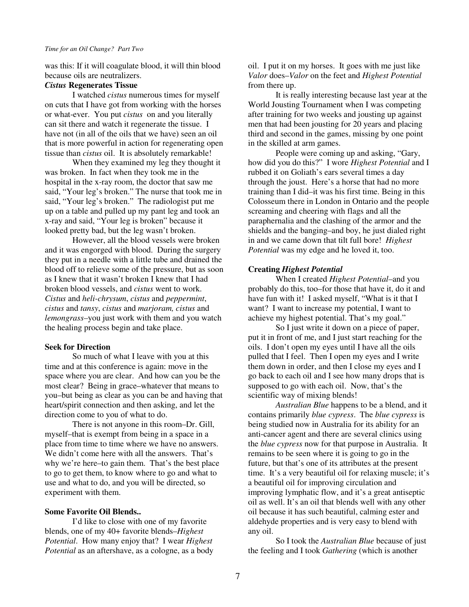was this: If it will coagulate blood, it will thin blood because oils are neutralizers.

## *Cistus* **Regenerates Tissue**

 I watched *cistus* numerous times for myself on cuts that I have got from working with the horses or what-ever. You put *cistus* on and you literally can sit there and watch it regenerate the tissue. I have not (in all of the oils that we have) seen an oil that is more powerful in action for regenerating open tissue than *cistus* oil. It is absolutely remarkable!

 When they examined my leg they thought it was broken. In fact when they took me in the hospital in the x-ray room, the doctor that saw me said, "Your leg's broken." The nurse that took me in said, "Your leg's broken." The radiologist put me up on a table and pulled up my pant leg and took an x-ray and said, "Your leg is broken" because it looked pretty bad, but the leg wasn't broken.

 However, all the blood vessels were broken and it was engorged with blood. During the surgery they put in a needle with a little tube and drained the blood off to relieve some of the pressure, but as soon as I knew that it wasn't broken I knew that I had broken blood vessels, and *cistus* went to work. *Cistus* and *heli-chrysum*, *cistus* and *peppermint*, *cistus* and *tansy*, *cistus* and *marjoram, cistus* and *lemongrass–*you just work with them and you watch the healing process begin and take place.

## **Seek for Direction**

 So much of what I leave with you at this time and at this conference is again: move in the space where you are clear. And how can you be the most clear? Being in grace–whatever that means to you–but being as clear as you can be and having that heart/spirit connection and then asking, and let the direction come to you of what to do.

 There is not anyone in this room–Dr. Gill, myself–that is exempt from being in a space in a place from time to time where we have no answers. We didn't come here with all the answers. That's why we're here–to gain them. That's the best place to go to get them, to know where to go and what to use and what to do, and you will be directed, so experiment with them.

#### **Some Favorite Oil Blends..**

 I'd like to close with one of my favorite blends, one of my 40+ favorite blends–*Highest Potential*. How many enjoy that? I wear *Highest Potential* as an aftershave, as a cologne, as a body

oil. I put it on my horses. It goes with me just like *Valor* does–*Valor* on the feet and *Highest Potential* from there up.

 It is really interesting because last year at the World Jousting Tournament when I was competing after training for two weeks and jousting up against men that had been jousting for 20 years and placing third and second in the games, missing by one point in the skilled at arm games.

 People were coming up and asking, "Gary, how did you do this?" I wore *Highest Potential* and I rubbed it on Goliath's ears several times a day through the joust. Here's a horse that had no more training than I did–it was his first time. Being in this Colosseum there in London in Ontario and the people screaming and cheering with flags and all the paraphernalia and the clashing of the armor and the shields and the banging–and boy, he just dialed right in and we came down that tilt full bore! *Highest Potential* was my edge and he loved it, too.

## **Creating** *Highest Potential*

 When I created *Highest Potential–*and you probably do this, too–for those that have it, do it and have fun with it! I asked myself, "What is it that I want? I want to increase my potential, I want to achieve my highest potential. That's my goal."

 So I just write it down on a piece of paper, put it in front of me, and I just start reaching for the oils. I don't open my eyes until I have all the oils pulled that I feel. Then I open my eyes and I write them down in order, and then I close my eyes and I go back to each oil and I see how many drops that is supposed to go with each oil. Now, that's the scientific way of mixing blends!

*Australian Blue* happens to be a blend, and it contains primarily *blue cypress*. The *blue cypress* is being studied now in Australia for its ability for an anti-cancer agent and there are several clinics using the *blue cypress* now for that purpose in Australia. It remains to be seen where it is going to go in the future, but that's one of its attributes at the present time. It's a very beautiful oil for relaxing muscle; it's a beautiful oil for improving circulation and improving lymphatic flow, and it's a great antiseptic oil as well. It's an oil that blends well with any other oil because it has such beautiful, calming ester and aldehyde properties and is very easy to blend with any oil.

 So I took the *Australian Blue* because of just the feeling and I took *Gathering* (which is another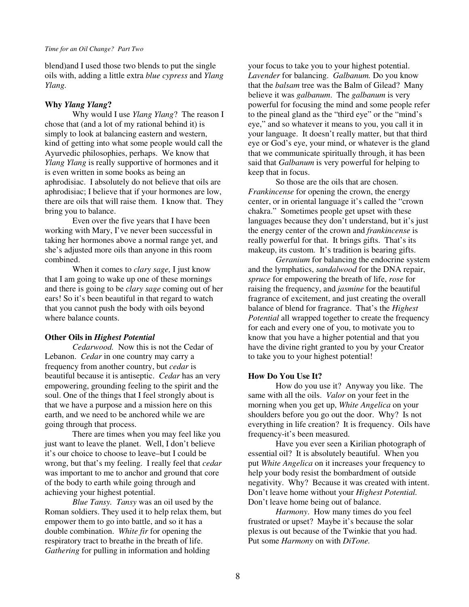blend)and I used those two blends to put the single oils with, adding a little extra *blue cypress* and *Ylang Ylang.* 

## **Why** *Ylang Ylang***?**

Why would I use *Ylang Ylang*? The reason I chose that (and a lot of my rational behind it) is simply to look at balancing eastern and western, kind of getting into what some people would call the Ayurvedic philosophies, perhaps. We know that *Ylang Ylang* is really supportive of hormones and it is even written in some books as being an aphrodisiac. I absolutely do not believe that oils are aphrodisiac; I believe that if your hormones are low, there are oils that will raise them. I know that. They bring you to balance.

 Even over the five years that I have been working with Mary, I've never been successful in taking her hormones above a normal range yet, and she's adjusted more oils than anyone in this room combined.

 When it comes to *clary sage,* I just know that I am going to wake up one of these mornings and there is going to be *clary sage* coming out of her ears! So it's been beautiful in that regard to watch that you cannot push the body with oils beyond where balance counts.

## **Other Oils in** *Highest Potential*

*Cedarwood.* Now this is not the Cedar of Lebanon. *Cedar* in one country may carry a frequency from another country, but *cedar* is beautiful because it is antiseptic. *Cedar* has an very empowering, grounding feeling to the spirit and the soul. One of the things that I feel strongly about is that we have a purpose and a mission here on this earth, and we need to be anchored while we are going through that process.

 There are times when you may feel like you just want to leave the planet. Well, I don't believe it's our choice to choose to leave–but I could be wrong, but that's my feeling. I really feel that *cedar* was important to me to anchor and ground that core of the body to earth while going through and achieving your highest potential.

*Blue Tansy. Tansy* was an oil used by the Roman soldiers. They used it to help relax them, but empower them to go into battle, and so it has a double combination. *White fir* for opening the respiratory tract to breathe in the breath of life. *Gathering* for pulling in information and holding

your focus to take you to your highest potential. *Lavender* for balancing. *Galbanum.* Do you know that the *balsam* tree was the Balm of Gilead? Many believe it was *galbanum*. The *galbanum* is very powerful for focusing the mind and some people refer to the pineal gland as the "third eye" or the "mind's eye," and so whatever it means to you, you call it in your language. It doesn't really matter, but that third eye or God's eye, your mind, or whatever is the gland that we communicate spiritually through, it has been said that *Galbanum* is very powerful for helping to keep that in focus.

 So those are the oils that are chosen. *Frankincense* for opening the crown, the energy center, or in oriental language it's called the "crown chakra." Sometimes people get upset with these languages because they don't understand, but it's just the energy center of the crown and *frankincense* is really powerful for that. It brings gifts. That's its makeup, its custom. It's tradition is bearing gifts.

 *Geranium* for balancing the endocrine system and the lymphatics, *sandalwood* for the DNA repair, *spruce* for empowering the breath of life, *rose* for raising the frequency, and *jasmine* for the beautiful fragrance of excitement, and just creating the overall balance of blend for fragrance. That's the *Highest Potential* all wrapped together to create the frequency for each and every one of you, to motivate you to know that you have a higher potential and that you have the divine right granted to you by your Creator to take you to your highest potential!

## **How Do You Use It?**

 How do you use it? Anyway you like. The same with all the oils. *Valor* on your feet in the morning when you get up, *White Angelica* on your shoulders before you go out the door. Why? Is not everything in life creation? It is frequency. Oils have frequency-it's been measured.

 Have you ever seen a Kirilian photograph of essential oil? It is absolutely beautiful. When you put *White Angelica* on it increases your frequency to help your body resist the bombardment of outside negativity. Why? Because it was created with intent. Don't leave home without your *Highest Potential.*  Don't leave home being out of balance.

*Harmony*. How many times do you feel frustrated or upset? Maybe it's because the solar plexus is out because of the Twinkie that you had. Put some *Harmony* on with *DiTone.*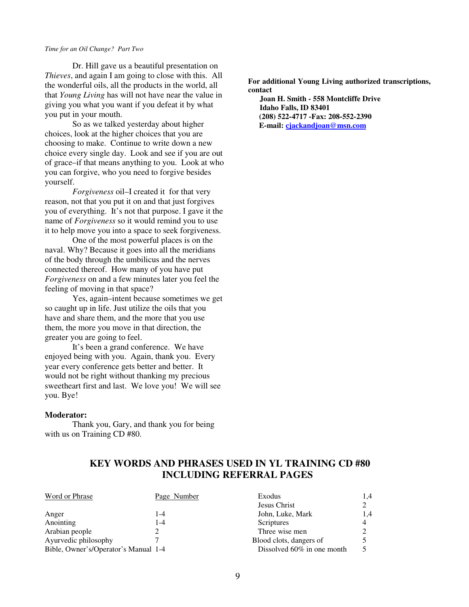Dr. Hill gave us a beautiful presentation on *Thieves*, and again I am going to close with this. All the wonderful oils, all the products in the world, all that *Young Living* has will not have near the value in giving you what you want if you defeat it by what you put in your mouth.

 So as we talked yesterday about higher choices, look at the higher choices that you are choosing to make. Continue to write down a new choice every single day. Look and see if you are out of grace–if that means anything to you. Look at who you can forgive, who you need to forgive besides yourself.

 *Forgiveness* oil–I created it for that very reason, not that you put it on and that just forgives you of everything. It's not that purpose. I gave it the name of *Forgiveness* so it would remind you to use it to help move you into a space to seek forgiveness.

 One of the most powerful places is on the naval. Why? Because it goes into all the meridians of the body through the umbilicus and the nerves connected thereof. How many of you have put *Forgiveness* on and a few minutes later you feel the feeling of moving in that space?

 Yes, again–intent because sometimes we get so caught up in life. Just utilize the oils that you have and share them, and the more that you use them, the more you move in that direction, the greater you are going to feel.

 It's been a grand conference. We have enjoyed being with you. Again, thank you. Every year every conference gets better and better. It would not be right without thanking my precious sweetheart first and last. We love you! We will see you. Bye!

#### **Moderator:**

Thank you, Gary, and thank you for being with us on Training CD #80.

**For additional Young Living authorized transcriptions, contact**

 **Joan H. Smith - 558 Montcliffe Drive Idaho Falls, ID 83401 (208) 522-4717 -Fax: 208-552-2390 E-mail: cjackandjoan@msn.com**

## **KEY WORDS AND PHRASES USED IN YL TRAINING CD #80 INCLUDING REFERRAL PAGES**

| Word or Phrase                       | Page Number | Exodus                        | 1.4 |
|--------------------------------------|-------------|-------------------------------|-----|
|                                      |             | Jesus Christ                  |     |
| Anger                                | 1-4         | John, Luke, Mark              | 1.4 |
| Anointing                            | 1-4         | Scriptures                    | 4   |
| Arabian people                       |             | Three wise men                |     |
| Ayurvedic philosophy                 |             | Blood clots, dangers of       |     |
| Bible, Owner's/Operator's Manual 1-4 |             | Dissolved $60\%$ in one month |     |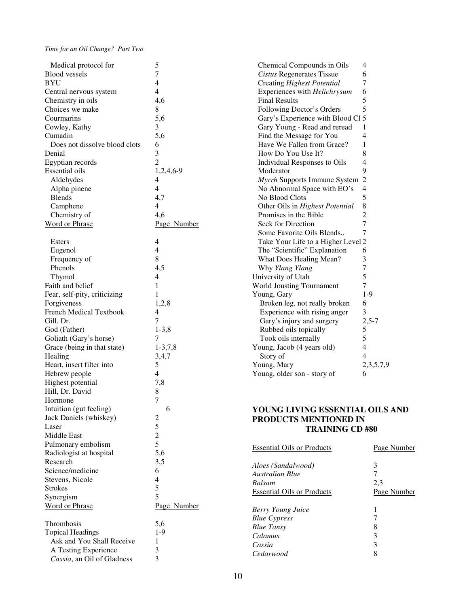| Medical protocol for           | 5              | Chemical                |
|--------------------------------|----------------|-------------------------|
| <b>Blood</b> vessels           | $\overline{7}$ | Cistus Re               |
| <b>BYU</b>                     | 4              | Creating                |
| Central nervous system         | $\overline{4}$ | Experienc               |
| Chemistry in oils              | 4,6            | <b>Final Res</b>        |
| Choices we make                | 8              | Following               |
| Courmarins                     | 5,6            | Gary's Ex               |
| Cowley, Kathy                  | 3              | Gary You                |
| Cumadin                        | 5,6            | Find the I              |
| Does not dissolve blood clots  | 6              | Have We                 |
| Denial                         | 3              | How Do                  |
| Egyptian records               | $\overline{2}$ | Individua               |
| <b>Essential</b> oils          | 1,2,4,6-9      | Moderato                |
| Aldehydes                      | 4              | Myrrh Su                |
| Alpha pinene                   | $\overline{4}$ | No Abnor                |
| <b>Blends</b>                  | 4,7            | No Blood                |
| Camphene                       | $\overline{4}$ | Other Oil               |
| Chemistry of                   | 4,6            | Promises                |
| Word or Phrase                 | Page Number    | Seek for I              |
|                                |                | Some Fay                |
| <b>Esters</b>                  | 4              | Take You                |
| Eugenol                        | $\overline{4}$ | The "Scie               |
| Frequency of                   | 8              | What Doe                |
| Phenols                        | 4,5            | Why Ylar                |
|                                | $\overline{4}$ | University              |
| Thymol                         | $\mathbf{1}$   | World Jous              |
| Faith and belief               | 1              |                         |
| Fear, self-pity, criticizing   |                | Young, Gar<br>Broken le |
| Forgiveness                    | 1,2,8          |                         |
| <b>French Medical Textbook</b> | 4<br>7         | Experien                |
| Gill, Dr.                      |                | Gary's in               |
| God (Father)                   | $1-3,8$        | Rubbed o                |
| Goliath (Gary's horse)         | 7              | Took oils               |
| Grace (being in that state)    | $1-3,7,8$      | Young, Jac              |
| Healing                        | 3,4,7          | Story of                |
| Heart, insert filter into      | 5              | Young, Ma               |
| Hebrew people                  | $\overline{4}$ | Young, old              |
| Highest potential              | 7,8            |                         |
| Hill, Dr. David                | 8              |                         |
| Hormone                        | $\overline{7}$ |                         |
| Intuition (gut feeling)        | 6              | YOUNG I                 |
| Jack Daniels (whiskey)         | 2              | <b>PRODUC</b>           |
| Laser                          | 5              |                         |
| <b>Middle East</b>             | $\overline{c}$ |                         |
| Pulmonary embolism             | 5              | <b>Essential O</b>      |
| Radiologist at hospital        | 5,6            |                         |
| Research                       | 3,5            | Aloes (Sanc             |
| Science/medicine               | 6              | Australian              |
| Stevens, Nicole                | 4              | <b>Balsam</b>           |
| <b>Strokes</b>                 | 5              | Essential O             |
| Synergism                      | 5              |                         |
| <b>Word or Phrase</b>          | Page Number    | <b>Berry Youn</b>       |
|                                |                | <b>Blue Cypre.</b>      |
| Thrombosis                     | 5,6            | <b>Blue Tansy</b>       |
| <b>Topical Headings</b>        | $1-9$          | Calamus                 |
| Ask and You Shall Receive      | 1              | Cassia                  |
| A Testing Experience           | 3              | Cedarwood               |
| Cassia, an Oil of Gladness     | 3              |                         |
|                                |                |                         |

| Chemical Compounds in Oils         | $\overline{4}$           |
|------------------------------------|--------------------------|
| <b>Cistus Regenerates Tissue</b>   | 6<br>7                   |
| Creating Highest Potential         |                          |
| Experiences with Helichrysum       | 6<br>5                   |
| <b>Final Results</b>               |                          |
| Following Doctor's Orders          | 5                        |
| Gary's Experience with Blood Cl 5  |                          |
| Gary Young - Read and reread       | 1                        |
| Find the Message for You           | 4                        |
| Have We Fallen from Grace?         | 1                        |
| How Do You Use It?                 | 8                        |
| Individual Responses to Oils       | $\overline{4}$           |
| Moderator                          | 9                        |
| Myrrh Supports Immune System       | $\overline{c}$           |
| No Abnormal Space with EO's        | $\overline{4}$           |
| No Blood Clots                     | 5                        |
| Other Oils in Highest Potential    | 8                        |
| Promises in the Bible              | $\frac{2}{7}$            |
| Seek for Direction                 |                          |
| Some Favorite Oils Blends          | $\overline{7}$           |
| Take Your Life to a Higher Level 2 |                          |
| The "Scientific" Explanation       | 6                        |
| What Does Healing Mean?            | 3                        |
| Why Ylang Ylang                    | 7                        |
| University of Utah                 | 5                        |
| <b>World Jousting Tournament</b>   | 7                        |
| Young, Gary                        | $1-9$                    |
| Broken leg, not really broken      | 6                        |
| Experience with rising anger       | 3                        |
| Gary's injury and surgery          | $2,5 - 7$                |
| Rubbed oils topically              | 5                        |
| Took oils internally               | 5                        |
| Young, Jacob (4 years old)         | $\overline{4}$           |
| Story of                           | $\overline{\mathcal{A}}$ |
| Young, Mary                        | 2, 3, 5, 7, 9            |
| Young, older son - story of        | 6                        |
|                                    |                          |

## **LIVING ESSENTIAL OILS AND PRODUCTS MENTIONED IN TRAINING CD #80**

| <b>Essential Oils or Products</b> | Page Number |
|-----------------------------------|-------------|
| Aloes (Sandalwood)                | 3           |
| Australian Blue                   |             |
| Balsam                            | 2.3         |
| <b>Essential Oils or Products</b> | Page Number |
| <b>Berry Young Juice</b>          |             |
| <b>Blue Cypress</b>               |             |
| <b>Blue Tansy</b>                 | 8           |
| Calamus                           | 3           |
| Cassia                            | 3           |
| Cedarwood                         | 8           |
|                                   |             |